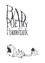

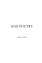Hanno Frank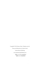Copyright © 2014 Hanno Frank. All rights reserved.

Poems and illustrations by Hanno Frank

Garden Bench Publishing

www.gardenbenchpublishing.com

ISBN-13: 978-1503280021 ISBN-10: 1503280020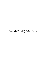This collection of poems is dedicated to my Grandma Judy, who consistently encouraged me to write and publish, even though she actually read my stuff.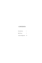# **CONTENTS**

| Introduction      |    |
|-------------------|----|
| <b>Bad Poetry</b> |    |
| Acknowledgments   | 55 |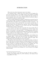## INTRODUCTION

This is the story of how bad poetry came to be written.

For Christmas 2005, a friend sent me the latest book by Stephen Fry, one of my favorite authors. I was wildly excited at the prospect of reading the book and decide to save it for a long, overnight train trip to Hungry to savor it properly. And so, for weeks, I had the book but resisted the urge to read it and even tried not to look at the title.

On the evening I departed for Szeged, I settled into my reserved seat for a long, pleasant night of undisturbed reading and finally allowed myself to open *The Ode Less Travelled*. \* I was a puzzled by the table of contents — all the previous books I had read from Fry were novels and this table of contents looked a bit less fictional than expected. After carefully scanning through the book, I realized it is not a novel at all, but a book giving technical advice on how to write poetry.

I was stunned. I had never seen a book like this and certainly did not expect to see one now, when I was anticipating one of Fry's wacky, witty stories. To be honest, I was taken aback — not disappointed, mind you, I am sure I would enjoy a technical book giving advice about how to properly delouse a llama if it was written by Fry — but I wasn't sure my powers of concentration were up to reading anything technical.

Well, the next afternoon, I arrived in Szeged, pale and trembling from the sleepless night — and on fire about the book. The writing, of course is superbly entertaining and kept me up all night turning the pages. But, unexpectedly, what was burning me up was the content.

The premise of the book is that, to write satisfactory poetry, you have to have an idea about the technical aspects of writing a poem. If you wanted to learn to play piano, he writes, it would not be very helpful if your teacher sat you in front of a keyboard and said "Just let your feelings out!" You would want to learn scales and a bit of music theory, wouldn't you.

And so it is with poetry. If you sit down with a piece of paper and no better advice than "Just let your feelings out!" you are bound to be unhappy with the results.

<sup>\*</sup> Get the book (because I won't lend you my copy): *The Ode Less Travelled — Unlocking the Poet Within* Stephen Fry, 2005, Hutchinson, The Random House Group ISBN 0 09 179661.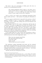#### HANNO FRANK

The book is also very encouraging to hobby poets who have no intention of ever publishing their poems:

> The average practitioner doesn't expect to win prizes, earn a fortune, become famous or acquire absolute mastery in their art, craft, sport — or as we would say now, their chosen leisure pursuit. *It really is enough to have fun.* [Fry's emphasis]

And it is full of very useful, easy-to-understand information about rhyme, rhythm and form — with exercises for putting the information to use.

I was too eager to read the book to stop and do the exercises, so when I finished, I decided to read it a second time, completing the exercises. Eventually, I read it a third time, making notes and cross-references and various other annotation.

Shortly before I read *The Ode*, I wrote a 1minutestory with the topic of "bad poetry." The topic was suggested by my brother who thought it would be a great opportunity to stick a bunch of raunchy poems in one story. I used the topic to this advantage and wrote a tale about a young student teacher giving English Literature classes to a bunch of impossible students. I have to say, I did enjoy writing all those crap poems. There was something freeing about writing a poem that is intentionally bad.

It was actually really fun to write a poem with the intention to abuse a standard form (in this case a limerick). And it was really great fun to write well formed poems about rather inappropriate topics:

> There once was a penguin named Fred, Who spent all his time in his bed. It gave him a thrill To lie very still 'Till the others were sure he was dead.†

My experiences writing intentionally bad poems and the technical information I had gained from Fry's book became a dangerous mix in my brain. After pondering how I could thank the friend who sent me the book, I decided I would send her one poem per week for a full year — all of them bad. (More like revenge than gratitude, actually.)

And thus, the first year of bad poetry was born.

<sup>†</sup> This poem actually predates the bad poetry story — it was written a few months before as a dedication in a photo book about penguins I gave a friend — but was included because of the appropriate badness of it. I guess I've always had it in me to write bad poems.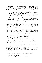Incomprehensibly, when I told some friends about my poetry writing activities, they actually wanted to see the poems. I did my best to discourage this, repeating with emphasis that the poems were supposed to be BAD. But the few who refused to be deterred became members of the bad poetry mailing list. I still find it difficult to believe that so many of *my* friends have such damaged sensibilities as to willingly receive poetry that is written with the expressed purpose of being bad. There is no accounting for it! Some of them actually attempted to write poems themselves, although I am happy to say they fell short of writing truly bad poetry (with the exception of my brother, of course, who is commotion poetry personified).

I used the results of the exercises to write the first few poems and continually referred to *The Ode* for inspiration and advice. It seemed that my life at the beginning of 2006 was full of topics for bad poems and the poetry began to flow from me like some sort of gastro-intestinal disturbance.

After a few months, any sort of irritation or disgust would suggest a poem. At the time I had developed a pathological irritation with the German train system. Even though I knew at least 50% trains would be late, I couldn't help but become irate — every single time. While waiting for a delayed train, I decided to write bad poems to pass the time and dissipate the irritation enough so that, if and when the train arrived, the urge to kick anyone subsided by the time I boarded. To be prepared, I started carrying a notebook and pen in my bag and would pull them out when I realized the train was not going to make it on time. Eventually, I started considering the poem on the walk to the train station. One day, I realized as I ran up the stairs to the platform, I was actually hoping the train would be late so as to have time to finish the stanza on which I was working.

It was a breakthrough for me.

Writing bad poetry had transformed from simple recreation to therapy. I used poetry to dissipate the considerable irritation that was welling up in me as I waited out my last year in Germany with dire impatience for starting my new life in Malaysia.

And sometimes I wonder — if I hadn't been writing poetry, what would have happened instead? Would I have eventually assaulted a train employee…? Or kicked down some old people blocking up the sidewalk? Or tossed an ashtray at the head of a surly waitress?

You could, if you were of a certain bent, almost of believe that bad poetry might have saved lives…

Anyway, I did have a lot of fun. And, just in case your judgment is a bit wonky today, here are all bad poems I have the guts to publish.

Happy reading! Happy writing! Shannon Frances, Nibong Tebal, December 2006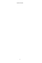#### HANNO FRANK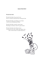#### **Words like birds**

Words, like birds, fly up into the air Hover 'round my head and nest among my hair

Words, like birds, are picking at my brains I feel ill, start thinking up refrains

Words, like birds, screech a noise inane Shouting out stanzas, I fear I've gone insane

Words, like birds, fly off into the air Leaving me here with a blank and empty stare… And a whole bunch of really bad poetry…

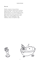### **Hot tub**

Finally a moment at home all alone Guests are all gone, and the house is all mine Filled up the tub — let me soak to the bone Washed off the stress and I'm feeling just fine Deep satisfaction, sweet scent of the foam Body relaxes, warm thoughts fill my mind Happy, my soul is beginning to sing Suddenly, rudely, the telephone rings



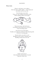#### **Winter haiku**

Winter's cold silence, snow stillness Grim days freeze endless nights — nature depressed Snowflakes and my heart sink

Tears freezing on my cheek Prone, my only company frozen grey clouds Damn neighbors didn't shovel again



Monotonous grey, cold wind razors Everything's dreary dead frozen to the bone I hate the fucking winter

Snot-frozen nose, blue fingers Trodden snow refrozen, treacherous knee-shattering slide Oh shit, it's snowing again

> Sweater, jacket, coat, gloves, scarf Bundled in winter clothes, a grumpy onion Shuffling cursing, braves the cold



I think of green leaves Cold reality blows away dreams of warmth Ugly pile of dirty snow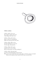

#### **Coffee overdose**

Coffee, coffee, I love you Hot espresso, black and sweet Only thing in life that's true

Coffee, coffee, such a treat Had so much I'm turning blue Makes my heart go beat, beat, beat

Coffee, coffee, milk or soya Feel the thrill down to my toes On the edge with paranoia

Coffee, coffee, time to go! Could it be I'm out of luck? Why are those guys over there staring so?

Coffee, coffee, what the fuck? Can they read minds? What do they know? Why are you guys following me? I can't take it anymore. Leave me alone! Who do you think you are? Huh? HUH? Hey, you all SUCK!